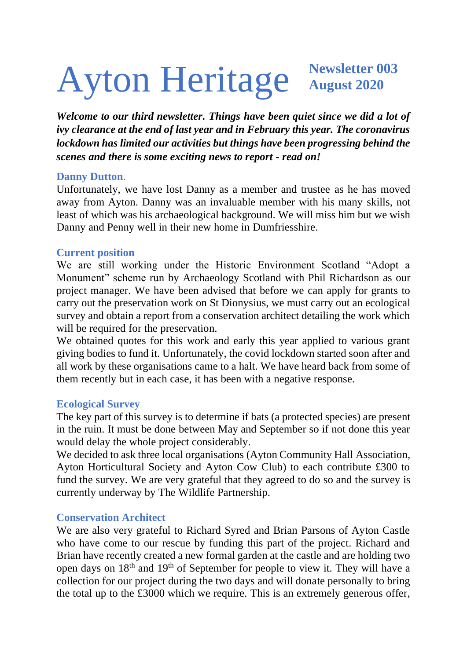# Ayton Heritage **Newsletter 003 August 2020**

*Welcome to our third newsletter. Things have been quiet since we did a lot of ivy clearance at the end of last year and in February this year. The coronavirus lockdown has limited our activities but things have been progressing behind the scenes and there is some exciting news to report - read on!*

#### **Danny Dutton**.

Unfortunately, we have lost Danny as a member and trustee as he has moved away from Ayton. Danny was an invaluable member with his many skills, not least of which was his archaeological background. We will miss him but we wish Danny and Penny well in their new home in Dumfriesshire.

#### **Current position**

We are still working under the Historic Environment Scotland "Adopt a Monument" scheme run by Archaeology Scotland with Phil Richardson as our project manager. We have been advised that before we can apply for grants to carry out the preservation work on St Dionysius, we must carry out an ecological survey and obtain a report from a conservation architect detailing the work which will be required for the preservation.

We obtained quotes for this work and early this year applied to various grant giving bodies to fund it. Unfortunately, the covid lockdown started soon after and all work by these organisations came to a halt. We have heard back from some of them recently but in each case, it has been with a negative response.

## **Ecological Survey**

The key part of this survey is to determine if bats (a protected species) are present in the ruin. It must be done between May and September so if not done this year would delay the whole project considerably.

We decided to ask three local organisations (Ayton Community Hall Association, Ayton Horticultural Society and Ayton Cow Club) to each contribute £300 to fund the survey. We are very grateful that they agreed to do so and the survey is currently underway by The Wildlife Partnership.

## **Conservation Architect**

We are also very grateful to Richard Syred and Brian Parsons of Ayton Castle who have come to our rescue by funding this part of the project. Richard and Brian have recently created a new formal garden at the castle and are holding two open days on 18th and 19th of September for people to view it. They will have a collection for our project during the two days and will donate personally to bring the total up to the £3000 which we require. This is an extremely generous offer,